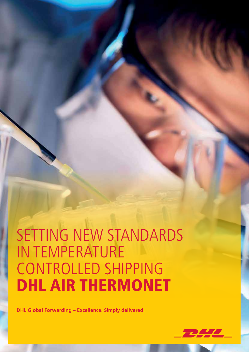# SETTING NEW STANDARDS IN TEMPERATURE CONTROLLED SHIPPING DHL AIR THERMONET

**DHL Global Forwarding – Excellence. Simply delivered.**

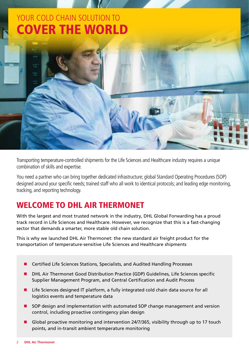### YOUR COLD CHAIN SOLUTION TO COVER THE WORLD

Transporting temperature-controlled shipments for the Life Sciences and Healthcare industry requires a unique combination of skills and expertise.

You need a partner who can bring together dedicated infrastructure; global Standard Operating Procedures (SOP) designed around your specific needs; trained staff who all work to identical protocols; and leading edge monitoring, tracking, and reporting technology.

### WELCOME TO DHL AIR THERMONET

With the largest and most trusted network in the industry, DHL Global Forwarding has a proud track record in Life Sciences and Healthcare. However, we recognize that this is a fast-changing sector that demands a smarter, more stable old chain solution.

This is why we launched DHL Air Thermonet: the new standard air freight product for the transportation of temperature-sensitive Life Sciences and Healthcare shipments

- Certified Life Sciences Stations, Specialists, and Audited Handling Processes
- n DHL Air Thermonet Good Distribution Practice (GDP) Guidelines, Life Sciences specific Supplier Management Program, and Central Certification and Audit Process
- Life Sciences designed IT platform, a fully integrated cold chain data source for all logistics events and temperature data
- SOP design and implementation with automated SOP change management and version control, including proactive contingency plan design
- Global proactive monitoring and intervention 24/7/365, visibility through up to 17 touch points, and in-transit ambient temperature monitoring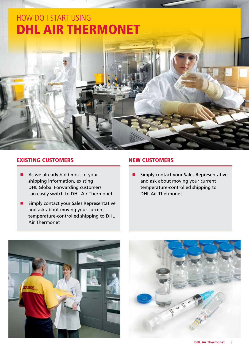### HOW DO I START USING DHL AIR THERMONET

#### EXISTING CUSTOMERS

- $\blacksquare$  As we already hold most of your shipping information, existing DHL Global Forwarding customers can easily switch to DHL Air Thermonet
- $\blacksquare$  Simply contact your Sales Representative and ask about moving your current temperature-controlled shipping to DHL Air Thermonet

#### NEW CUSTOMERS

**n** Simply contact your Sales Representative and ask about moving your current temperature-controlled shipping to DHL Air Thermonet



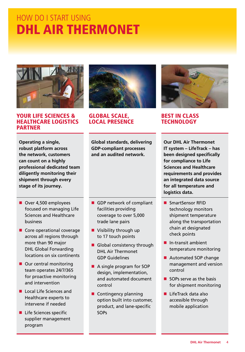## HOW DO I START USING DHL AIR THERMONET



#### YOUR LIFE SCIENCES & HEALTHCARE LOGISTICS PARTNER

**Operating a single, robust platform across the network, customers can count on a highly professional dedicated team diligently monitoring their shipment through every stage of its journey.**

- Over 4,500 employees focused on managing Life Sciences and Healthcare business
- $\blacksquare$  Core operational coverage across all regions through more than 90 major DHL Global Forwarding locations on six continents
- $\blacksquare$  Our central monitoring team operates 24/7/365 for proactive monitoring and intervention
- **n** Local Life Sciences and Healthcare experts to intervene if needed
- $\blacksquare$  Life Sciences specific supplier management program



#### GLOBAL SCALE, LOCAL PRESENCE

**Global standards, delivering GDP-compliant processes and an audited network.**

- $\blacksquare$  GDP network of compliant facilities providing coverage to over 5,000 trade lane pairs
- $\blacksquare$  Visibility through up to 17 touch points
- Global consistency through DHL Air Thermonet GDP Guidelines
- A single program for SOP design, implementation, and automated document control
- $\blacksquare$  Contingency planning option built into customer, product, and lane-specific **SOPs**



#### BEST IN CLASS **TECHNOLOGY**

**Our DHL Air Thermonet IT system – LifeTrack – has been designed specifically for compliance to Life Sciences and Healthcare requirements and provides an integrated data source for all temperature and logistics data.**

- SmartSensor RFID technology monitors shipment temperature along the transportation chain at designated check points
- $\blacksquare$  In-transit ambient temperature monitoring
- Automated SOP change management and version control
- $\blacksquare$  SOPs serve as the basis for shipment monitoring
- $\blacksquare$  LifeTrack data also accessible through mobile application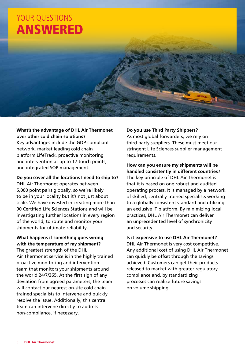

#### **What's the advantage of DHL Air Thermonet over other cold chain solutions?**

Key advantages include the GDP-compliant network, market leading cold chain platform LifeTrack, proactive monitoring and intervention at up to 17 touch points, and integrated SOP management.

**Do you cover all the locations I need to ship to?** DHL Air Thermonet operates between 5,000 point pairs globally, so we're likely to be in your locality but it's not just about scale. We have invested in creating more than 90 Certified Life Sciences Stations and will be investigating further locations in every region of the world, to route and monitor your shipments for ultimate reliability.

#### **What happens if something goes wrong with the temperature of my shipment?**

The greatest strength of the DHL Air Thermonet service is in the highly trained proactive monitoring and intervention team that monitors your shipments around the world 24/7/365. At the first sign of any deviation from agreed parameters, the team will contact our nearest on-site cold chain trained specialists to intervene and quickly resolve the issue. Additionally, this central team can intervene directly to address non-compliance, if necessary.

**Do you use Third Party Shippers?**

As most global forwarders, we rely on third party suppliers. These must meet our stringent Life Sciences supplier management requirements.

**How can you ensure my shipments will be handled consistently in different countries?** The key principle of DHL Air Thermonet is that it is based on one robust and audited operating process. It is managed by a network of skilled, centrally trained specialists working to a globally consistent standard and utilizing an exclusive IT platform. By minimizing local practices, DHL Air Thermonet can deliver an unprecedented level of synchronicity and security.

#### **Is it expensive to use DHL Air Thermonet?**

DHL Air Thermonet is very cost competitive. Any additional cost of using DHL Air Thermonet can quickly be offset through the savings achieved. Customers can get their products released to market with greater regulatory compliance and, by standardizing processes can realize future savings on volume shipping.